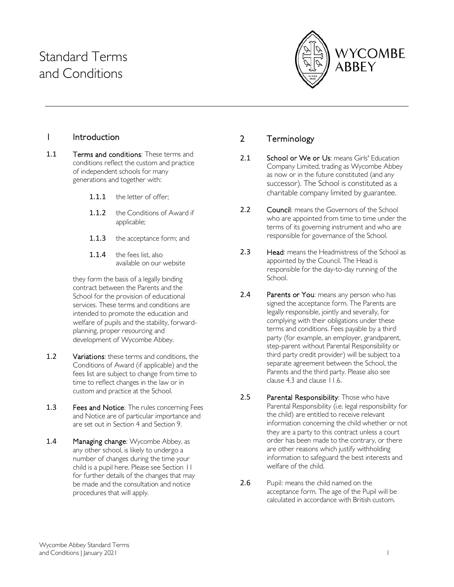# Standard Terms and Conditions



## 1 Introduction

- 1.1 **Terms and conditions:** These terms and conditions reflect the custom and practice of independent schools for many generations and together with:
	- 1.1.1 the letter of offer:
	- 1.1.2 the Conditions of Award if applicable;
	- 1.1.3 the acceptance form; and
	- 1.1.4 the fees list, also available on our website

they form the basis of a legally binding contract between the Parents and the School for the provision of educational services. These terms and conditions are intended to promote the education and welfare of pupils and the stability, forwardplanning, proper resourcing and development of Wycombe Abbey.

- 1.2 Variations: these terms and conditions, the Conditions of Award (if applicable) and the fees list are subject to change from time to time to reflect changes in the law or in custom and practice at the School.
- 1.3 Fees and Notice: The rules concerning Fees and Notice are of particular importance and are set out in Sectio[n 4 a](#page-1-0)nd Section [9.](#page-11-0)
- 1.4 Managing change: Wycombe Abbey, as any other school, is likely to undergo a number of changes during the time your child is a pupil here. Please see Section [11](#page-13-0)  for further details of the changes that may be made and the consultation and notice procedures that will apply.

## 2 Terminology

- 2.1 School or We or Us: means Girls' Education Company Limited, trading as Wycombe Abbey as now or in the future constituted (and any successor). The School is constituted as a charitable company limited by guarantee.
- 2.2 Council: means the Governors of the School who are appointed from time to time under the terms of its governing instrument and who are responsible for governance of the School.
- 2.3 Head: means the Headmistress of the School as appointed by the Council. The Head is responsible for the day-to-day running of the School.
- 2.4 Parents or You: means any person who has signed the acceptance form. The Parents are legally responsible, jointly and severally, for complying with their obligations under these terms and conditions. Fees payable by a third party (for example, an employer, grandparent, step-parent without Parental Responsibility or third party credit provider) will be subject to a separate agreement between the School, the Parents and the third party. Please also see clause [4.3](#page-2-0) and claus[e 11.6.](#page-14-0)
- 2.5 Parental Responsibility: Those who have Parental Responsibility (i.e. legal responsibility for the child) are entitled to receive relevant information concerning the child whether or not they are a party to this contract unless a court order has been made to the contrary, or there are other reasons which justify withholding information to safeguard the best interests and welfare of the child.
- 2.6 Pupil: means the child named on the acceptance form. The age of the Pupil will be calculated in accordance with British custom.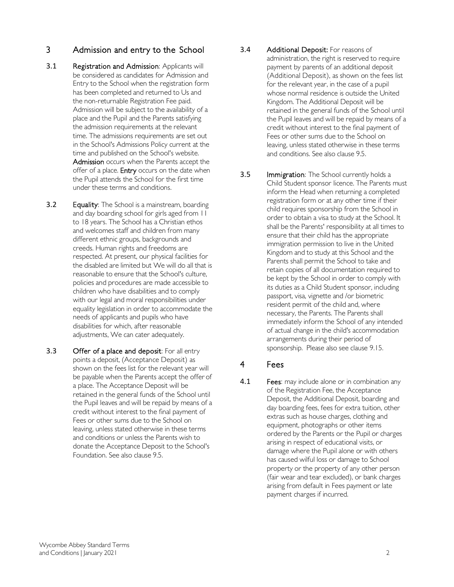#### 3 Admission and entry to the School

- <span id="page-1-1"></span>3.1 Registration and Admission: Applicants will be considered as candidates for Admission and Entry to the School when the registration form has been completed and returned to Us and the non-returnable Registration Fee paid. Admission will be subject to the availability of a place and the Pupil and the Parents satisfying the admission requirements at the relevant time. The admissions requirements are set out in the School's Admissions Policy current at the time and published on the School's website. Admission occurs when the Parents accept the offer of a place. Entry occurs on the date when the Pupil attends the School for the first time under these terms and conditions.
- **3.2** Equality: The School is a mainstream, boarding and day boarding school for girls aged from 11 to 18 years. The School has a Christian ethos and welcomes staff and children from many different ethnic groups, backgrounds and creeds. Human rights and freedoms are respected. At present, our physical facilities for the disabled are limited but We will do all that is reasonable to ensure that the School's culture, policies and procedures are made accessible to children who have disabilities and to comply with our legal and moral responsibilities under equality legislation in order to accommodate the needs of applicants and pupils who have disabilities for which, after reasonable adjustments, We can cater adequately.
- <span id="page-1-2"></span>3.3 Offer of a place and deposit: For all entry points a deposit, (Acceptance Deposit) as shown on the fees list for the relevant year will be payable when the Parents accept the offer of a place. The Acceptance Deposit will be retained in the general funds of the School until the Pupil leaves and will be repaid by means of a credit without interest to the final payment of Fees or other sums due to the School on leaving, unless stated otherwise in these terms and conditions or unless the Parents wish to donate the Acceptance Deposit to the School's Foundation. See also claus[e 9.5.](#page-12-0)
- <span id="page-1-3"></span>3.4 Additional Deposit: For reasons of administration, the right is reserved to require payment by parents of an additional deposit (Additional Deposit), as shown on the fees list for the relevant year, in the case of a pupil whose normal residence is outside the United Kingdom. The Additional Deposit will be retained in the general funds of the School until the Pupil leaves and will be repaid by means of a credit without interest to the final payment of Fees or other sums due to the School on leaving, unless stated otherwise in these terms and conditions. See also claus[e 9.5.](#page-12-0)
- **3.5** Immigration: The School currently holds a Child Student sponsor licence. The Parents must inform the Head when returning a completed registration form or at any other time if their child requires sponsorship from the School in order to obtain a visa to study at the School. It shall be the Parents' responsibility at all times to ensure that their child has the appropriate immigration permission to live in the United Kingdom and to study at this School and the Parents shall permit the School to take and retain copies of all documentation required to be kept by the School in order to comply with its duties as a Child Student sponsor, including passport, visa, vignette and /or biometric resident permit of the child and, where necessary, the Parents. The Parents shall immediately inform the School of any intended of actual change in the child's accommodation arrangements during their period of sponsorship. Please also see claus[e 9.15.](#page-13-1)

#### <span id="page-1-0"></span>4 Fees

4.1 Fees: may include alone or in combination any of the Registration Fee, the Acceptance Deposit, the Additional Deposit, boarding and day boarding fees, fees for extra tuition, other extras such as house charges, clothing and equipment, photographs or other items ordered by the Parents or the Pupil or charges arising in respect of educational visits, or damage where the Pupil alone or with others has caused wilful loss or damage to School property or the property of any other person (fair wear and tear excluded), or bank charges arising from default in Fees payment or late payment charges if incurred.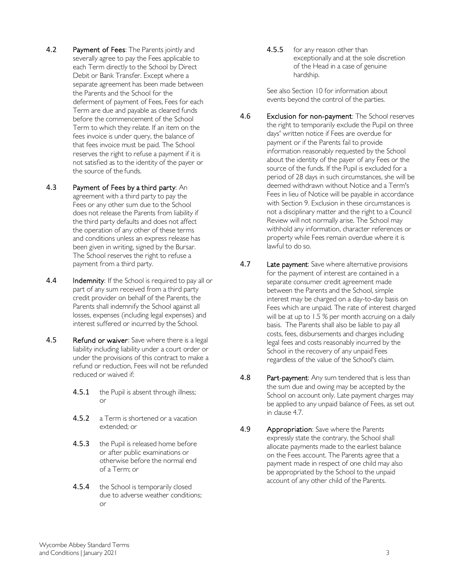- 4.2 Payment of Fees: The Parents jointly and severally agree to pay the Fees applicable to each Term directly to the School by Direct Debit or Bank Transfer. Except where a separate agreement has been made between the Parents and the School for the deferment of payment of Fees, Fees for each Term are due and payable as cleared funds before the commencement of the School Term to which they relate. If an item on the fees invoice is under query, the balance of that fees invoice must be paid. The School reserves the right to refuse a payment if it is not satisfied as to the identity of the payer or the source of the funds.
- <span id="page-2-0"></span>4.3 Payment of Fees by a third party: An agreement with a third party to pay the Fees or any other sum due to the School does not release the Parents from liability if the third party defaults and does not affect the operation of any other of these terms and conditions unless an express release has been given in writing, signed by the Bursar. The School reserves the right to refuse a payment from a third party.
- <span id="page-2-3"></span>4.4 Indemnity: If the School is required to pay all or part of any sum received from a third party credit provider on behalf of the Parents, the Parents shall indemnify the School against all losses, expenses (including legal expenses) and interest suffered or incurred by the School.
- <span id="page-2-4"></span>4.5 Refund or waiver: Save where there is a legal liability including liability under a court order or under the provisions of this contract to make a refund or reduction, Fees will not be refunded reduced or waived if:
	- 4.5.1 the Pupil is absent through illness; or
	- 4.5.2 a Term is shortened or a vacation extended; or
	- 4.5.3 the Pupil is released home before or after public examinations or otherwise before the normal end of a Term; or
	- 4.5.4 the School is temporarily closed due to adverse weather conditions; or

4.5.5 for any reason other than exceptionally and at the sole discretion of the Head in a case of genuine hardship.

See also Section [10 f](#page-13-2)or information about events beyond the control of the parties.

- <span id="page-2-2"></span>4.6 Exclusion for non-payment: The School reserves the right to temporarily exclude the Pupil on three days' written notice if Fees are overdue for payment or if the Parents fail to provide information reasonably requested by the School about the identity of the payer of any Fees or the source of the funds. If the Pupil is excluded for a period of 28 days in such circumstances, she will be deemed withdrawn without Notice and a Term's Fees in lieu of Notice will be payable in accordance with Sectio[n 9.](#page-11-0) Exclusion in these circumstances is not a disciplinary matter and the right to a Council Review will not normally arise. The School may withhold any information, character references or property while Fees remain overdue where it is lawful to do so.
- <span id="page-2-1"></span>4.7 Late payment: Save where alternative provisions for the payment of interest are contained in a separate consumer credit agreement made between the Parents and the School, simple interest may be charged on a day-to-day basis on Fees which are unpaid. The rate of interest charged will be at up to 1.5 % per month accruing on a daily basis. The Parents shall also be liable to pay all costs, fees, disbursements and charges including legal fees and costs reasonably incurred by the School in the recovery of any unpaid Fees regardless of the value of the School's claim.
- 4.8 Part-payment: Any sum tendered that is less than the sum due and owing may be accepted by the School on account only. Late payment charges may be applied to any unpaid balance of Fees, as set out in clause [4.7.](#page-2-1)
- 4.9 Appropriation: Save where the Parents expressly state the contrary, the School shall allocate payments made to the earliest balance on the Fees account. The Parents agree that a payment made in respect of one child may also be appropriated by the School to the unpaid account of any other child of the Parents.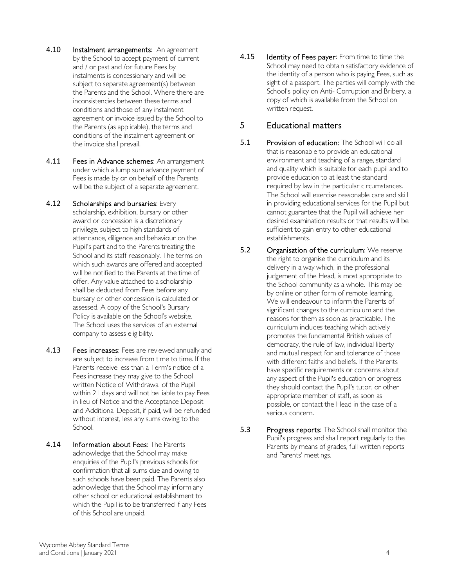- 4.10 Instalment arrangements: An agreement by the School to accept payment of current and / or past and /or future Fees by instalments is concessionary and will be subject to separate agreement(s) between the Parents and the School. Where there are inconsistencies between these terms and conditions and those of any instalment agreement or invoice issued by the School to the Parents (as applicable), the terms and conditions of the instalment agreement or the invoice shall prevail.
- 4.11 Fees in Advance schemes: An arrangement under which a lump sum advance payment of Fees is made by or on behalf of the Parents will be the subject of a separate agreement.
- 4.12 Scholarships and bursaries: Every scholarship, exhibition, bursary or other award or concession is a discretionary privilege, subject to high standards of attendance, diligence and behaviour on the Pupil's part and to the Parents treating the School and its staff reasonably. The terms on which such awards are offered and accepted will be notified to the Parents at the time of offer. Any value attached to a scholarship shall be deducted from Fees before any bursary or other concession is calculated or assessed. A copy of the School's Bursary Policy is available on the School's website. The School uses the services of an external company to assess eligibility.
- 4.13 Fees increases: Fees are reviewed annually and are subject to increase from time to time. If the Parents receive less than a Term's notice of a Fees increase they may give to the School written Notice of Withdrawal of the Pupil within 21 days and will not be liable to pay Fees in lieu of Notice and the Acceptance Deposit and Additional Deposit, if paid, will be refunded without interest, less any sums owing to the School.
- 4.14 Information about Fees: The Parents acknowledge that the School may make enquiries of the Pupil's previous schools for confirmation that all sums due and owing to such schools have been paid. The Parents also acknowledge that the School may inform any other school or educational establishment to which the Pupil is to be transferred if any Fees of this School are unpaid.

4.15 Identity of Fees payer: From time to time the School may need to obtain satisfactory evidence of the identity of a person who is paying Fees, such as sight of a passport. The parties will comply with the School's policy on Anti- Corruption and Bribery, a copy of which is available from the School on written request.

# 5 Educational matters

- 5.1 Provision of education: The School will do all that is reasonable to provide an educational environment and teaching of a range, standard and quality which is suitable for each pupil and to provide education to at least the standard required by law in the particular circumstances. The School will exercise reasonable care and skill in providing educational services for the Pupil but cannot guarantee that the Pupil will achieve her desired examination results or that results will be sufficient to gain entry to other educational establishments.
- 5.2 Organisation of the curriculum: We reserve the right to organise the curriculum and its delivery in a way which, in the professional judgement of the Head, is most appropriate to the School community as a whole. This may be by online or other form of remote learning. We will endeavour to inform the Parents of significant changes to the curriculum and the reasons for them as soon as practicable. The curriculum includes teaching which actively promotes the fundamental British values of democracy, the rule of law, individual liberty and mutual respect for and tolerance of those with different faiths and beliefs. If the Parents have specific requirements or concerns about any aspect of the Pupil's education or progress they should contact the Pupil's tutor, or other appropriate member of staff, as soon as possible, or contact the Head in the case of a serious concern.
- 5.3 Progress reports: The School shall monitor the Pupil's progress and shall report regularly to the Parents by means of grades, full written reports and Parents' meetings.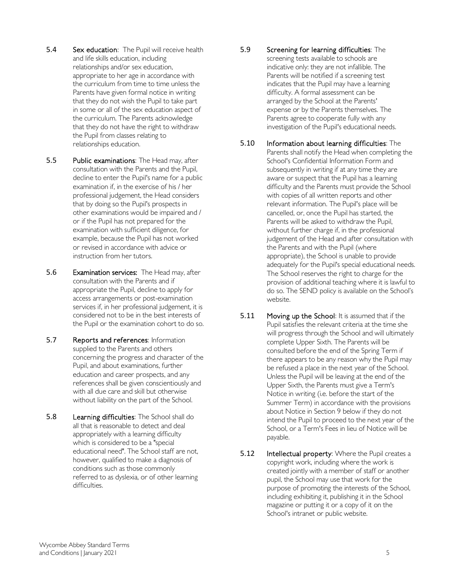- 5.4 Sex education: The Pupil will receive health and life skills education, including relationships and/or sex education, appropriate to her age in accordance with the curriculum from time to time unless the Parents have given formal notice in writing that they do not wish the Pupil to take part in some or all of the sex education aspect of the curriculum. The Parents acknowledge that they do not have the right to withdraw the Pupil from classes relating to relationships education.
- 5.5 Public examinations: The Head may, after consultation with the Parents and the Pupil, decline to enter the Pupil's name for a public examination if, in the exercise of his / her professional judgement, the Head considers that by doing so the Pupil's prospects in other examinations would be impaired and / or if the Pupil has not prepared for the examination with sufficient diligence, for example, because the Pupil has not worked or revised in accordance with advice or instruction from her tutors.
- 5.6 Examination services: The Head may, after consultation with the Parents and if appropriate the Pupil, decline to apply for access arrangements or post-examination services if, in her professional judgement, it is considered not to be in the best interests of the Pupil or the examination cohort to do so.
- 5.7 Reports and references: Information supplied to the Parents and others concerning the progress and character of the Pupil, and about examinations, further education and career prospects, and any references shall be given conscientiously and with all due care and skill but otherwise without liability on the part of the School.
- 5.8 Learning difficulties: The School shall do all that is reasonable to detect and deal appropriately with a learning difficulty which is considered to be a "special educational need". The School staff are not, however, qualified to make a diagnosis of conditions such as those commonly referred to as dyslexia, or of other learning difficulties.
- 5.9 Screening for learning difficulties: The screening tests available to schools are indicative only: they are not infallible. The Parents will be notified if a screening test indicates that the Pupil may have a learning difficulty. A formal assessment can be arranged by the School at the Parents' expense or by the Parents themselves. The Parents agree to cooperate fully with any investigation of the Pupil's educational needs.
- 5.10 Information about learning difficulties: The Parents shall notify the Head when completing the School's Confidential Information Form and subsequently in writing if at any time they are aware or suspect that the Pupil has a learning difficulty and the Parents must provide the School with copies of all written reports and other relevant information. The Pupil's place will be cancelled, or, once the Pupil has started, the Parents will be asked to withdraw the Pupil, without further charge if, in the professional judgement of the Head and after consultation with the Parents and with the Pupil (where appropriate), the School is unable to provide adequately for the Pupil's special educational needs. The School reserves the right to charge for the provision of additional teaching where it is lawful to do so. The SEND policy is available on the School's website.
- **5.11** Moving up the School: It is assumed that if the Pupil satisfies the relevant criteria at the time she will progress through the School and will ultimately complete Upper Sixth. The Parents will be consulted before the end of the Spring Term if there appears to be any reason why the Pupil may be refused a place in the next year of the School. Unless the Pupil will be leaving at the end of the Upper Sixth, the Parents must give a Term's Notice in writing (i.e. before the start of the Summer Term) in accordance with the provisions about Notice in Sectio[n 9 b](#page-11-0)elow if they do not intend the Pupil to proceed to the next year of the School, or a Term's Fees in lieu of Notice will be payable.
- 5.12 Intellectual property: Where the Pupil creates a copyright work, including where the work is created jointly with a member of staff or another pupil, the School may use that work for the purpose of promoting the interests of the School, including exhibiting it, publishing it in the School magazine or putting it or a copy of it on the School's intranet or public website.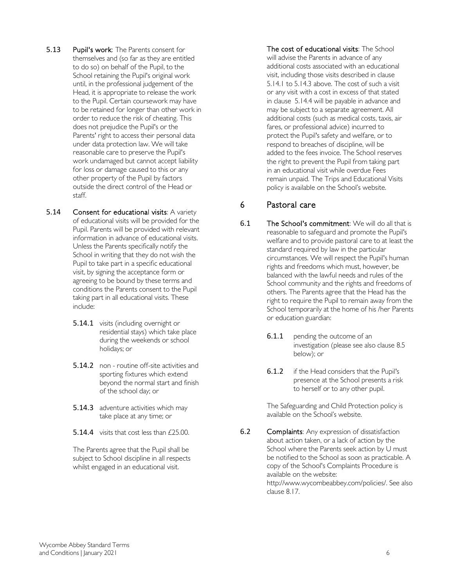- 5.13 Pupil's work: The Parents consent for themselves and (so far as they are entitled to do so) on behalf of the Pupil, to the School retaining the Pupil's original work until, in the professional judgement of the Head, it is appropriate to release the work to the Pupil. Certain coursework may have to be retained for longer than other work in order to reduce the risk of cheating. This does not prejudice the Pupil's or the Parents' right to access their personal data under data protection law. We will take reasonable care to preserve the Pupil's work undamaged but cannot accept liability for loss or damage caused to this or any other property of the Pupil by factors outside the direct control of the Head or staff.
- <span id="page-5-0"></span>5.14 Consent for educational visits: A variety of educational visits will be provided for the Pupil. Parents will be provided with relevant information in advance of educational visits. Unless the Parents specifically notify the School in writing that they do not wish the Pupil to take part in a specific educational visit, by signing the acceptance form or agreeing to be bound by these terms and conditions the Parents consent to the Pupil taking part in all educational visits. These include:
	- 5.14.1 visits (including overnight or residential stays) which take place during the weekends or school holidays; or
	- 5.14.2 non routine off-site activities and sporting fixtures which extend beyond the normal start and finish of the school day; or
	- 5.14.3 adventure activities which may take place at any time; or
	- 5.14.4 visits that cost less than £25.00.

<span id="page-5-2"></span><span id="page-5-1"></span>The Parents agree that the Pupil shall be subject to School discipline in all respects whilst engaged in an educational visit.

The cost of educational visits: The School will advise the Parents in advance of any additional costs associated with an educational visit, including those visits described in clause [5.14.1](#page-5-0) to [5.14.3](#page-5-1) above. The cost of such a visit or any visit with a cost in excess of that stated in clause [5.14.4](#page-5-2) will be payable in advance and may be subject to a separate agreement. All additional costs (such as medical costs, taxis, air fares, or professional advice) incurred to protect the Pupil's safety and welfare, or to respond to breaches of discipline, will be added to the fees invoice. The School reserves the right to prevent the Pupil from taking part in an educational visit while overdue Fees remain unpaid. The Trips and Educational Visits policy is available on the School's website.

# 6 Pastoral care

- 6.1 The School's commitment: We will do all that is reasonable to safeguard and promote the Pupil's welfare and to provide pastoral care to at least the standard required by law in the particular circumstances. We will respect the Pupil's human rights and freedoms which must, however, be balanced with the lawful needs and rules of the School community and the rights and freedoms of others. The Parents agree that the Head has the right to require the Pupil to remain away from the School temporarily at the home of his /her Parents or education guardian:
	- **6.1.1** pending the outcome of an investigation (please see also claus[e 8.5](#page-9-0) below); or
	- 6.1.2 if the Head considers that the Pupil's presence at the School presents a risk to herself or to any other pupil.

The Safeguarding and Child Protection policy is available on the School's website.

<span id="page-5-3"></span>6.2 Complaints: Any expression of dissatisfaction about action taken, or a lack of action by the School where the Parents seek action by U must be notified to the School as soon as practicable. A copy of the School's Complaints Procedure is available on the website: [http://www.wycombeabbey.com/policies/.](http://www.wycombeabbey.com/policies/) See also claus[e 8.17.](#page-11-1)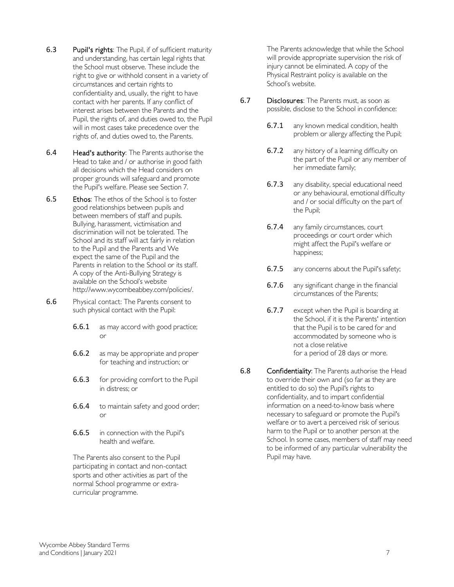- 6.3 Pupil's rights: The Pupil, if of sufficient maturity and understanding, has certain legal rights that the School must observe. These include the right to give or withhold consent in a variety of circumstances and certain rights to confidentiality and, usually, the right to have contact with her parents. If any conflict of interest arises between the Parents and the Pupil, the rights of, and duties owed to, the Pupil will in most cases take precedence over the rights of, and duties owed to, the Parents.
- 6.4 Head's authority: The Parents authorise the Head to take and / or authorise in good faith all decisions which the Head considers on proper grounds will safeguard and promote the Pupil's welfare. Please see Section [7.](#page-8-0)
- 6.5 Ethos: The ethos of the School is to foster good relationships between pupils and between members of staff and pupils. Bullying, harassment, victimisation and discrimination will not be tolerated. The School and its staff will act fairly in relation to the Pupil and the Parents and We expect the same of the Pupil and the Parents in relation to the School or its staff. A copy of the Anti-Bullying Strategy is available on the School's websit[e](http://www.wycombeabbey.com/policies/) [http://www.wycombeabbey.com/policies/.](http://www.wycombeabbey.com/policies/)
- 6.6 Physical contact: The Parents consent to such physical contact with the Pupil:
	- **6.6.1** as may accord with good practice; or
	- 6.6.2 as may be appropriate and proper for teaching and instruction; or
	- **6.6.3** for providing comfort to the Pupil in distress; or
	- **6.6.4** to maintain safety and good order; or
	- 6.6.5 in connection with the Pupil's health and welfare.

The Parents also consent to the Pupil participating in contact and non-contact sports and other activities as part of the normal School programme or extracurricular programme.

The Parents acknowledge that while the School will provide appropriate supervision the risk of injury cannot be eliminated. A copy of the Physical Restraint policy is available on the School's website.

- 6.7 Disclosures: The Parents must, as soon as possible, disclose to the School in confidence:
	- **6.7.1** any known medical condition, health problem or allergy affecting the Pupil;
	- 6.7.2 any history of a learning difficulty on the part of the Pupil or any member of her immediate family;
	- 6.7.3 any disability, special educational need or any behavioural, emotional difficulty and / or social difficulty on the part of the Pupil;
	- 6.7.4 any family circumstances, court proceedings or court order which might affect the Pupil's welfare or happiness;
	- **6.7.5** any concerns about the Pupil's safety;
	- 6.7.6 any significant change in the financial circumstances of the Parents;
	- **6.7.7** except when the Pupil is boarding at the School, if it is the Parents' intention that the Pupil is to be cared for and accommodated by someone who is not a close relative for a period of 28 days or more.
- 6.8 Confidentiality: The Parents authorise the Head to override their own and (so far as they are entitled to do so) the Pupil's rights to confidentiality, and to impart confidential information on a need-to-know basis where necessary to safeguard or promote the Pupil's welfare or to avert a perceived risk of serious harm to the Pupil or to another person at the School. In some cases, members of staff may need to be informed of any particular vulnerability the Pupil may have.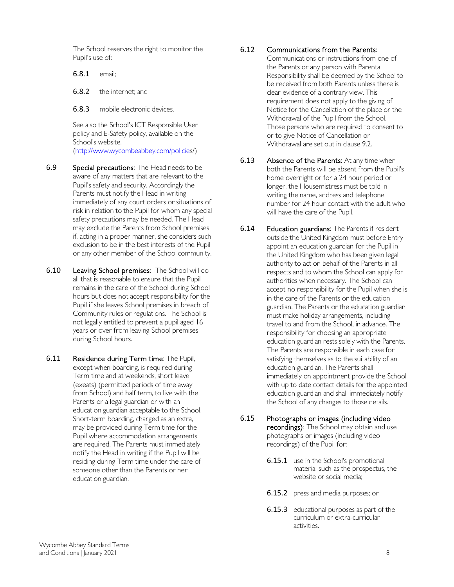The School reserves the right to monitor the Pupil's use of:

6.8.1 email;

6.8.2 the internet; and

6.8.3 mobile electronic devices.

See also the School's ICT Responsible User policy and E-Safety policy, available on the School's website. [\(http://www.wycombeabbey.com/policie](http://www.wycombeabbey.com/policie)[s/\)](http://www.wycombeabbey.com/policies/)

- 6.9 Special precautions: The Head needs to be aware of any matters that are relevant to the Pupil's safety and security. Accordingly the Parents must notify the Head in writing immediately of any court orders or situations of risk in relation to the Pupil for whom any special safety precautions may be needed. The Head may exclude the Parents from School premises if, acting in a proper manner, she considers such exclusion to be in the best interests of the Pupil or any other member of the School community.
- 6.10 Leaving School premises: The School will do all that is reasonable to ensure that the Pupil remains in the care of the School during School hours but does not accept responsibility for the Pupil if she leaves School premises in breach of Community rules or regulations. The School is not legally entitled to prevent a pupil aged 16 years or over from leaving School premises during School hours.
- 6.11 Residence during Term time: The Pupil, except when boarding, is required during Term time and at weekends, short leave (exeats) (permitted periods of time away from School) and half term, to live with the Parents or a legal guardian or with an education guardian acceptable to the School. Short-term boarding, charged as an extra, may be provided during Term time for the Pupil where accommodation arrangements are required. The Parents must immediately notify the Head in writing if the Pupil will be residing during Term time under the care of someone other than the Parents or her education guardian.

#### 6.12 Communications from the Parents:

Communications or instructions from one of the Parents or any person with Parental Responsibility shall be deemed by the School to be received from both Parents unless there is clear evidence of a contrary view. This requirement does not apply to the giving of Notice for the Cancellation of the place or the Withdrawal of the Pupil from the School. Those persons who are required to consent to or to give Notice of Cancellation or Withdrawal are set out in claus[e 9.2.](#page-11-2)

- 6.13 Absence of the Parents: At any time when both the Parents will be absent from the Pupil's home overnight or for a 24 hour period or longer, the Housemistress must be told in writing the name, address and telephone number for 24 hour contact with the adult who will have the care of the Pupil.
- 6.14 Education guardians: The Parents if resident outside the United Kingdom must before Entry appoint an education guardian for the Pupil in the United Kingdom who has been given legal authority to act on behalf of the Parents in all respects and to whom the School can apply for authorities when necessary. The School can accept no responsibility for the Pupil when she is in the care of the Parents or the education guardian. The Parents or the education guardian must make holiday arrangements, including travel to and from the School, in advance. The responsibility for choosing an appropriate education guardian rests solely with the Parents. The Parents are responsible in each case for satisfying themselves as to the suitability of an education guardian. The Parents shall immediately on appointment provide the School with up to date contact details for the appointed education guardian and shall immediately notify the School of any changes to those details.
- 6.15 Photographs or images (including video recordings): The School may obtain and use photographs or images (including video recordings) of the Pupil for:
	- 6.15.1 use in the School's promotional material such as the prospectus, the website or social media;
	- 6.15.2 press and media purposes; or
	- 6.15.3 educational purposes as part of the curriculum or extra-curricular activities.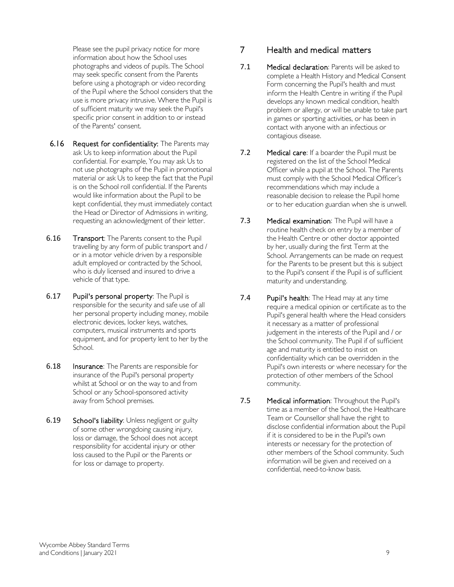Please see the pupil privacy notice for more information about how the School uses photographs and videos of pupils. The School may seek specific consent from the Parents before using a photograph or video recording of the Pupil where the School considers that the use is more privacy intrusive. Where the Pupil is of sufficient maturity we may seek the Pupil's specific prior consent in addition to or instead of the Parents' consent.

- 6.16 Request for confidentiality: The Parents may ask Us to keep information about the Pupil confidential. For example, You may ask Us to not use photographs of the Pupil in promotional material or ask Us to keep the fact that the Pupil is on the School roll confidential. If the Parents would like information about the Pupil to be kept confidential, they must immediately contact the Head or Director of Admissions in writing, requesting an acknowledgment of their letter.
- 6.16 Transport: The Parents consent to the Pupil travelling by any form of public transport and / or in a motor vehicle driven by a responsible adult employed or contracted by the School, who is duly licensed and insured to drive a vehicle of that type.
- 6.17 Pupil's personal property: The Pupil is responsible for the security and safe use of all her personal property including money, mobile electronic devices, locker keys, watches, computers, musical instruments and sports equipment, and for property lent to her by the School.
- 6.18 Insurance: The Parents are responsible for insurance of the Pupil's personal property whilst at School or on the way to and from School or any School-sponsored activity away from School premises.
- 6.19 School's liability: Unless negligent or guilty of some other wrongdoing causing injury, loss or damage, the School does not accept responsibility for accidental injury or other loss caused to the Pupil or the Parents or for loss or damage to property.

## <span id="page-8-0"></span>7 Health and medical matters

- 7.1 Medical declaration: Parents will be asked to complete a Health History and Medical Consent Form concerning the Pupil's health and must inform the Health Centre in writing if the Pupil develops any known medical condition, health problem or allergy, or will be unable to take part in games or sporting activities, or has been in contact with anyone with an infectious or contagious disease.
- 7.2 Medical care: If a boarder the Pupil must be registered on the list of the School Medical Officer while a pupil at the School. The Parents must comply with the School Medical Officer's recommendations which may include a reasonable decision to release the Pupil home or to her education guardian when she is unwell.
- 7.3 Medical examination: The Pupil will have a routine health check on entry by a member of the Health Centre or other doctor appointed by her, usually during the first Term at the School. Arrangements can be made on request for the Parents to be present but this is subject to the Pupil's consent if the Pupil is of sufficient maturity and understanding.
- 7.4 Pupil's health: The Head may at any time require a medical opinion or certificate as to the Pupil's general health where the Head considers it necessary as a matter of professional judgement in the interests of the Pupil and / or the School community. The Pupil if of sufficient age and maturity is entitled to insist on confidentiality which can be overridden in the Pupil's own interests or where necessary for the protection of other members of the School community.
- 7.5 Medical information: Throughout the Pupil's time as a member of the School, the Healthcare Team or Counsellor shall have the right to disclose confidential information about the Pupil if it is considered to be in the Pupil's own interests or necessary for the protection of other members of the School community. Such information will be given and received on a confidential, need-to-know basis.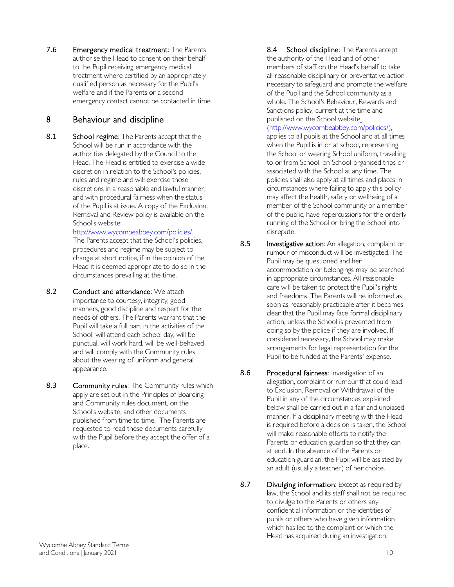7.6 Emergency medical treatment: The Parents authorise the Head to consent on their behalf to the Pupil receiving emergency medical treatment where certified by an appropriately qualified person as necessary for the Pupil's welfare and if the Parents or a second emergency contact cannot be contacted in time.

## 8 Behaviour and discipline

8.1 School regime: The Parents accept that the School will be run in accordance with the authorities delegated by the Council to the Head. The Head is entitled to exercise a wide discretion in relation to the School's policies, rules and regime and will exercise those discretions in a reasonable and lawful manner, and with procedural fairness when the status of the Pupil is at issue. A copy of the Exclusion, Removal and Review policy is available on the School's website:

[http://www.wycombeabbey.com/policies/.](http://www.wycombeabbey.com/policies/)  The Parents accept that the School's policies, procedures and regime may be subject to change at short notice, if in the opinion of the Head it is deemed appropriate to do so in the circumstances prevailing at the time.

- 8.2 Conduct and attendance: We attach importance to courtesy, integrity, good manners, good discipline and respect for the needs of others. The Parents warrant that the Pupil will take a full part in the activities of the School, will attend each School day, will be punctual, will work hard, will be well-behaved and will comply with the Community rules about the wearing of uniform and general appearance.
- 8.3 Community rules: The Community rules which apply are set out in the Principles of Boarding and Community rules document, on the School's website, and other documents published from time to time. The Parents are requested to read these documents carefully with the Pupil before they accept the offer of a place.

8.4 School discipline: The Parents accept the authority of the Head and of other members of staff on the Head's behalf to take all reasonable disciplinary or preventative action necessary to safeguard and promote the welfare of the Pupil and the School community as a whole. The School's Behaviour, Rewards and Sanctions policy, current at the time and published on the School websit[e](file://profiles-03/ctx_redirected$/1590/My%20Documents/NRPortbl/LIVE/1590/(http:/www.wycombeabbey.com/policies/),) [\(http://www.wycombeabbey.com/policies/\),](file://profiles-03/ctx_redirected$/1590/My%20Documents/NRPortbl/LIVE/1590/(http:/www.wycombeabbey.com/policies/),)

applies to all pupils at the School and at all times when the Pupil is in or at school, representing the School or wearing School uniform, travelling to or from School, on School-organised trips or associated with the School at any time. The policies shall also apply at all times and places in circumstances where failing to apply this policy may affect the health, safety or wellbeing of a member of the School community or a member of the public, have repercussions for the orderly running of the School or bring the School into disrepute.

- <span id="page-9-0"></span>8.5 Investigative action: An allegation, complaint or rumour of misconduct will be investigated. The Pupil may be questioned and her accommodation or belongings may be searched in appropriate circumstances. All reasonable care will be taken to protect the Pupil's rights and freedoms. The Parents will be informed as soon as reasonably practicable after it becomes clear that the Pupil may face formal disciplinary action, unless the School is prevented from doing so by the police if they are involved. If considered necessary, the School may make arrangements for legal representation for the Pupil to be funded at the Parents' expense.
- 8.6 Procedural fairness: Investigation of an allegation, complaint or rumour that could lead to Exclusion, Removal or Withdrawal of the Pupil in any of the circumstances explained below shall be carried out in a fair and unbiased manner. If a disciplinary meeting with the Head is required before a decision is taken, the School will make reasonable efforts to notify the Parents or education guardian so that they can attend. In the absence of the Parents or education guardian, the Pupil will be assisted by an adult (usually a teacher) of her choice.
- 8.7 Divulging information: Except as required by law, the School and its staff shall not be required to divulge to the Parents or others any confidential information or the identities of pupils or others who have given information which has led to the complaint or which the Head has acquired during an investigation.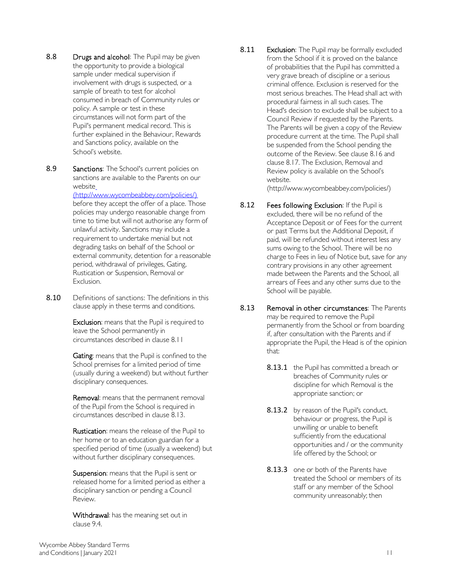- 8.8 Drugs and alcohol: The Pupil may be given the opportunity to provide a biological sample under medical supervision if involvement with drugs is suspected, or a sample of breath to test for alcohol consumed in breach of Community rules or policy. A sample or test in these circumstances will not form part of the Pupil's permanent medical record. This is further explained in the Behaviour, Rewards and Sanctions policy, available on the School's website.
- 8.9 Sanctions: The School's current policies on sanctions are available to the Parents on our websit[e](file://profiles-03/ctx_redirected$/1590/My%20Documents/NRPortbl/LIVE/1590/(http:/www.wycombeabbey.com/policies/))

[\(http://www.wycombeabbey.com/policies/\)](file://profiles-03/ctx_redirected$/1590/My%20Documents/NRPortbl/LIVE/1590/(http:/www.wycombeabbey.com/policies/)) before they accept the offer of a place. Those policies may undergo reasonable change from time to time but will not authorise any form of unlawful activity. Sanctions may include a requirement to undertake menial but not degrading tasks on behalf of the School or external community, detention for a reasonable period, withdrawal of privileges, Gating, Rustication or Suspension, Removal or Exclusion.

8.10 Definitions of sanctions: The definitions in this clause apply in these terms and conditions.

> Exclusion: means that the Pupil is required to leave the School permanently in circumstances described in claus[e 8.11](#page-10-0)

Gating: means that the Pupil is confined to the School premises for a limited period of time (usually during a weekend) but without further disciplinary consequences.

Removal: means that the permanent removal of the Pupil from the School is required in circumstances described in claus[e 8.13.](#page-10-1)

Rustication: means the release of the Pupil to her home or to an education guardian for a specified period of time (usually a weekend) but without further disciplinary consequences.

Suspension: means that the Pupil is sent or released home for a limited period as either a disciplinary sanction or pending a Council Review.

Withdrawal: has the meaning set out in clause [9.4.](#page-11-3)

<span id="page-10-0"></span>8.11 Exclusion: The Pupil may be formally excluded from the School if it is proved on the balance of probabilities that the Pupil has committed a very grave breach of discipline or a serious criminal offence. Exclusion is reserved for the most serious breaches. The Head shall act with procedural fairness in all such cases. The Head's decision to exclude shall be subject to a Council Review if requested by the Parents. The Parents will be given a copy of the Review procedure current at the time. The Pupil shall be suspended from the School pending the outcome of the Review. See clause [8.16](#page-11-4) and clause [8.17.](#page-11-1) The Exclusion, Removal and Review policy is available on the School's website.

(http://www.wycombeabbey.com/policies/)

- <span id="page-10-2"></span>8.12 Fees following Exclusion: If the Pupil is excluded, there will be no refund of the Acceptance Deposit or of Fees for the current or past Terms but the Additional Deposit, if paid, will be refunded without interest less any sums owing to the School. There will be no charge to Fees in lieu of Notice but, save for any contrary provisions in any other agreement made between the Parents and the School, all arrears of Fees and any other sums due to the School will be payable.
- <span id="page-10-1"></span>8.13 Removal in other circumstances: The Parents may be required to remove the Pupil permanently from the School or from boarding if, after consultation with the Parents and if appropriate the Pupil, the Head is of the opinion that:
	- 8.13.1 the Pupil has committed a breach or breaches of Community rules or discipline for which Removal is the appropriate sanction; or
	- 8.13.2 by reason of the Pupil's conduct, behaviour or progress, the Pupil is unwilling or unable to benefit sufficiently from the educational opportunities and / or the community life offered by the School; or
	- 8.13.3 one or both of the Parents have treated the School or members of its staff or any member of the School community unreasonably; then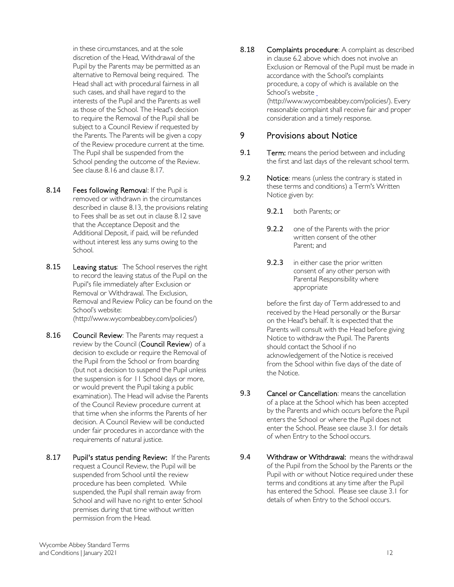in these circumstances, and at the sole discretion of the Head, Withdrawal of the Pupil by the Parents may be permitted as an alternative to Removal being required. The Head shall act with procedural fairness in all such cases, and shall have regard to the interests of the Pupil and the Parents as well as those of the School. The Head's decision to require the Removal of the Pupil shall be subject to a Council Review if requested by the Parents. The Parents will be given a copy of the Review procedure current at the time. The Pupil shall be suspended from the School pending the outcome of the Review. See clause [8.16](#page-11-4) and clause [8.17.](#page-11-1)

- <span id="page-11-5"></span>8.14 Fees following Removal: If the Pupil is removed or withdrawn in the circumstances described in clause [8.13, t](#page-10-1)he provisions relating to Fees shall be as set out in clause [8.12](#page-10-2) save that the Acceptance Deposit and the Additional Deposit, if paid, will be refunded without interest less any sums owing to the School.
- 8.15 Leaving status: The School reserves the right to record the leaving status of the Pupil on the Pupil's file immediately after Exclusion or Removal or Withdrawal. The Exclusion, Removal and Review Policy can be found on the School's websit[e:](http://www.wycombeabbey.com/policies/) [\(http://www.wycombeabbey.com/policies/\)](http://www.wycombeabbey.com/policies/)
- <span id="page-11-4"></span>8.16 Council Review: The Parents may request a review by the Council (Council Review) of a decision to exclude or require the Removal of the Pupil from the School or from boarding (but not a decision to suspend the Pupil unless the suspension is for 11 School days or more, or would prevent the Pupil taking a public examination). The Head will advise the Parents of the Council Review procedure current at that time when she informs the Parents of her decision. A Council Review will be conducted under fair procedures in accordance with the requirements of natural justice.
- <span id="page-11-1"></span>8.17 Pupil's status pending Review: If the Parents request a Council Review, the Pupil will be suspended from School until the review procedure has been completed. While suspended, the Pupil shall remain away from School and will have no right to enter School premises during that time without written permission from the Head.

8.18 Complaints procedure: A complaint as described in clause [6.2](#page-5-3) above which does not involve an Exclusion or Removal of the Pupil must be made in accordance with the School's complaints procedure, a copy of which is available on the School's websit[e](file://profiles-03/ctx_redirected$/1590/My%20Documents/NRPortbl/LIVE/1590/(http:/www.wycombeabbey.com/policies/).) [\(http://www.wycombeabbey.com/policies/\).](file://profiles-03/ctx_redirected$/1590/My%20Documents/NRPortbl/LIVE/1590/(http:/www.wycombeabbey.com/policies/).) Every reasonable complaint shall receive fair and proper consideration and a timely response.

#### <span id="page-11-0"></span>9 Provisions about Notice

- 9.1 **Term:** means the period between and including the first and last days of the relevant school term.
- <span id="page-11-2"></span>9.2 Notice: means (unless the contrary is stated in these terms and conditions) a Term's Written Notice given by:
	- 9.2.1 both Parents; or
	- 9.2.2 one of the Parents with the prior written consent of the other Parent; and
	- 9.2.3 in either case the prior written consent of any other person with Parental Responsibility where appropriate

before the first day of Term addressed to and received by the Head personally or the Bursar on the Head's behalf. It is expected that the Parents will consult with the Head before giving Notice to withdraw the Pupil. The Parents should contact the School if no acknowledgement of the Notice is received from the School within five days of the date of the Notice.

- 9.3 Cancel or Cancellation: means the cancellation of a place at the School which has been accepted by the Parents and which occurs before the Pupil enters the School or where the Pupil does not enter the School. Please see clause [3.1](#page-1-1) for details of when Entry to the School occurs.
- <span id="page-11-3"></span>9.4 Withdraw or Withdrawal: means the withdrawal of the Pupil from the School by the Parents or the Pupil with or without Notice required under these terms and conditions at any time after the Pupil has entered the School. Please see clause [3.1](#page-1-1) for details of when Entry to the School occurs.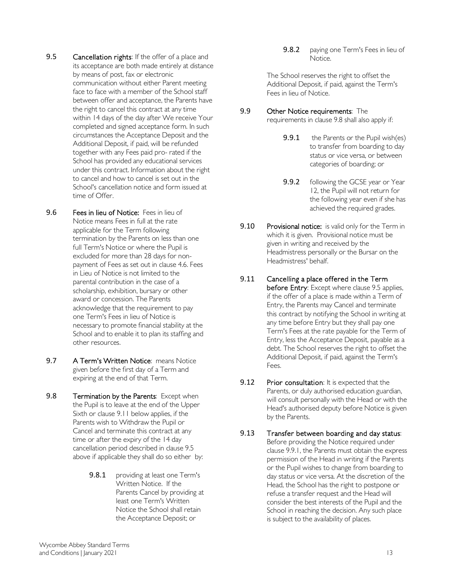- <span id="page-12-0"></span>9.5 Cancellation rights: If the offer of a place and its acceptance are both made entirely at distance by means of post, fax or electronic communication without either Parent meeting face to face with a member of the School staff between offer and acceptance, the Parents have the right to cancel this contract at any time within 14 days of the day after We receive Your completed and signed acceptance form. In such circumstances the Acceptance Deposit and the Additional Deposit, if paid, will be refunded together with any Fees paid pro- rated if the School has provided any educational services under this contract. Information about the right to cancel and how to cancel is set out in the School's cancellation notice and form issued at time of Offer.
- <span id="page-12-4"></span>9.6 Fees in lieu of Notice: Fees in lieu of Notice means Fees in full at the rate applicable for the Term following termination by the Parents on less than one full Term's Notice or where the Pupil is excluded for more than 28 days for nonpayment of Fees as set out in clause [4.6.](#page-2-2) Fees in Lieu of Notice is not limited to the parental contribution in the case of a scholarship, exhibition, bursary or other award or concession. The Parents acknowledge that the requirement to pay one Term's Fees in lieu of Notice is necessary to promote financial stability at the School and to enable it to plan its staffing and other resources.
- 9.7 A Term's Written Notice: means Notice given before the first day of a Term and expiring at the end of that Term.
- <span id="page-12-2"></span>9.8 Termination by the Parents: Except when the Pupil is to leave at the end of the Upper Sixth or claus[e 9.11](#page-12-1) below applies, if the Parents wish to Withdraw the Pupil or Cancel and terminate this contract at any time or after the expiry of the 14 day cancellation period described in claus[e 9.5](#page-12-0) above if applicable they shall do so either by:
	- 9.8.1 providing at least one Term's Written Notice. If the Parents Cancel by providing at least one Term's Written Notice the School shall retain the Acceptance Deposit; or

9.8.2 paying one Term's Fees in lieu of Notice.

The School reserves the right to offset the Additional Deposit, if paid, against the Term's Fees in lieu of Notice.

- <span id="page-12-5"></span><span id="page-12-3"></span>9.9 Other Notice requirements: The requirements in claus[e 9.8](#page-12-2) shall also apply if:
	- 9.9.1 the Parents or the Pupil wish(es) to transfer from boarding to day status or vice versa, or between categories of boarding; or
	- 9.9.2 following the GCSE year or Year 12, the Pupil will not return for the following year even if she has achieved the required grades.
- **9.10** Provisional notice: is valid only for the Term in which it is given. Provisional notice must be given in writing and received by the Headmistress personally or the Bursar on the Headmistress' behalf.
- <span id="page-12-1"></span>9.11 Cancelling a place offered in the Term before Entry: Except where claus[e 9.5](#page-12-0) applies, if the offer of a place is made within a Term of Entry, the Parents may Cancel and terminate this contract by notifying the School in writing at any time before Entry but they shall pay one Term's Fees at the rate payable for the Term of Entry, less the Acceptance Deposit, payable as a debt. The School reserves the right to offset the Additional Deposit, if paid, against the Term's Fees.
- 9.12 Prior consultation: It is expected that the Parents, or duly authorised education guardian, will consult personally with the Head or with the Head's authorised deputy before Notice is given by the Parents.
- 9.13 Transfer between boarding and day status: Before providing the Notice required under claus[e 9.9.1, t](#page-12-3)he Parents must obtain the express permission of the Head in writing if the Parents or the Pupil wishes to change from boarding to day status or vice versa. At the discretion of the Head, the School has the right to postpone or refuse a transfer request and the Head will consider the best interests of the Pupil and the School in reaching the decision. Any such place is subject to the availability of places.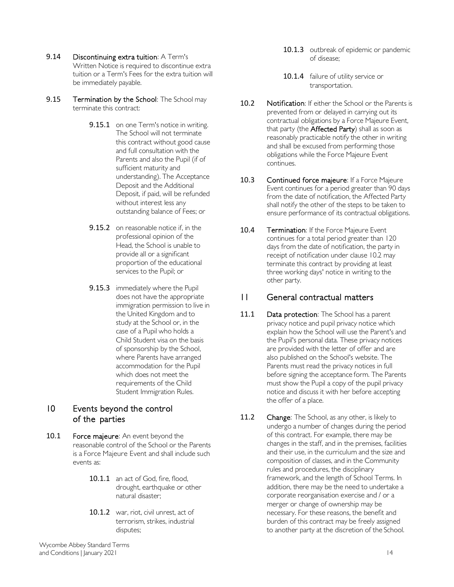<span id="page-13-4"></span>9.14 Discontinuing extra tuition: A Term's

Written Notice is required to discontinue extra tuition or a Term's Fees for the extra tuition will be immediately payable.

- <span id="page-13-1"></span>9.15 Termination by the School: The School may terminate this contract:
	- 9.15.1 on one Term's notice in writing. The School will not terminate this contract without good cause and full consultation with the Parents and also the Pupil (if of sufficient maturity and understanding). The Acceptance Deposit and the Additional Deposit, if paid, will be refunded without interest less any outstanding balance of Fees; or
	- 9.15.2 on reasonable notice if, in the professional opinion of the Head, the School is unable to provide all or a significant proportion of the educational services to the Pupil; or
	- **9.15.3** immediately where the Pupil does not have the appropriate immigration permission to live in the United Kingdom and to study at the School or, in the case of a Pupil who holds a Child Student visa on the basis of sponsorship by the School, where Parents have arranged accommodation for the Pupil which does not meet the requirements of the Child Student Immigration Rules.

#### <span id="page-13-2"></span>10 Events beyond the control of the parties

- 10.1 Force majeure: An event beyond the reasonable control of the School or the Parents is a Force Majeure Event and shall include such events as:
	- 10.1.1 an act of God, fire, flood, drought, earthquake or other natural disaster;
	- 10.1.2 war, riot, civil unrest, act of terrorism, strikes, industrial disputes;
- 10.1.3 outbreak of epidemic or pandemic of disease;
- 10.1.4 failure of utility service or transportation.
- <span id="page-13-3"></span>10.2 Notification: If either the School or the Parents is prevented from or delayed in carrying out its contractual obligations by a Force Majeure Event, that party (the Affected Party) shall as soon as reasonably practicable notify the other in writing and shall be excused from performing those obligations while the Force Majeure Event continues.
- 10.3 Continued force majeure: If a Force Majeure Event continues for a period greater than 90 days from the date of notification, the Affected Party shall notify the other of the steps to be taken to ensure performance of its contractual obligations.
- 10.4 Termination: If the Force Majeure Event continues for a total period greater than 120 days from the date of notification, the party in receipt of notification under clause [10.2](#page-13-3) may terminate this contract by providing at least three working days' notice in writing to the other party.

## <span id="page-13-0"></span>11 General contractual matters

- 11.1 Data protection: The School has a parent privacy notice and pupil privacy notice which explain how the School will use the Parent's and the Pupil's personal data. These privacy notices are provided with the letter of offer and are also published on the School's website. The Parents must read the privacy notices in full before signing the acceptance form. The Parents must show the Pupil a copy of the pupil privacy notice and discuss it with her before accepting the offer of a place.
- 11.2 Change: The School, as any other, is likely to undergo a number of changes during the period of this contract. For example, there may be changes in the staff, and in the premises, facilities and their use, in the curriculum and the size and composition of classes, and in the Community rules and procedures, the disciplinary framework, and the length of School Terms. In addition, there may be the need to undertake a corporate reorganisation exercise and / or a merger or change of ownership may be necessary. For these reasons, the benefit and burden of this contract may be freely assigned to another party at the discretion of the School.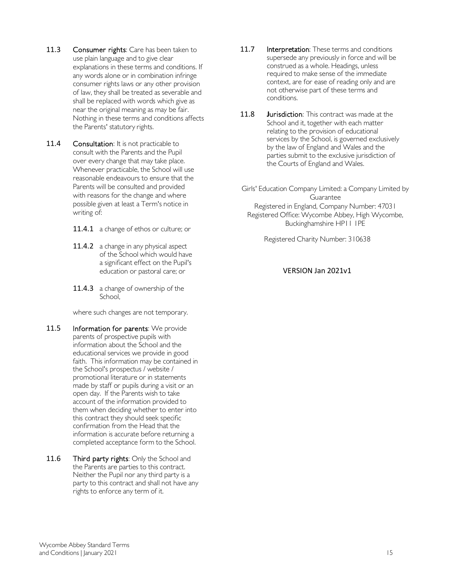- 11.3 Consumer rights: Care has been taken to use plain language and to give clear explanations in these terms and conditions. If any words alone or in combination infringe consumer rights laws or any other provision of law, they shall be treated as severable and shall be replaced with words which give as near the original meaning as may be fair. Nothing in these terms and conditions affects the Parents' statutory rights.
- 11.4 Consultation: It is not practicable to consult with the Parents and the Pupil over every change that may take place. Whenever practicable, the School will use reasonable endeavours to ensure that the Parents will be consulted and provided with reasons for the change and where possible given at least a Term's notice in writing of:
	- 11.4.1 a change of ethos or culture; or
	- 11.4.2 a change in any physical aspect of the School which would have a significant effect on the Pupil's education or pastoral care; or
	- 11.4.3 a change of ownership of the School,

where such changes are not temporary.

- 11.5 Information for parents: We provide parents of prospective pupils with information about the School and the educational services we provide in good faith. This information may be contained in the School's prospectus / website / promotional literature or in statements made by staff or pupils during a visit or an open day. If the Parents wish to take account of the information provided to them when deciding whether to enter into this contract they should seek specific confirmation from the Head that the information is accurate before returning a completed acceptance form to the School.
- <span id="page-14-0"></span>11.6 Third party rights: Only the School and the Parents are parties to this contract. Neither the Pupil nor any third party is a party to this contract and shall not have any rights to enforce any term of it.
- 11.7 Interpretation: These terms and conditions supersede any previously in force and will be construed as a whole. Headings, unless required to make sense of the immediate context, are for ease of reading only and are not otherwise part of these terms and conditions.
- 11.8 **J**urisdiction: This contract was made at the School and it, together with each matter relating to the provision of educational services by the School, is governed exclusively by the law of England and Wales and the parties submit to the exclusive jurisdiction of the Courts of England and Wales.

Girls' Education Company Limited: a Company Limited by **Guarantee** Registered in England, Company Number: 47031 Registered Office: Wycombe Abbey, High Wycombe, Buckinghamshire HP11 1PE

Registered Charity Number: 310638

#### VERSION Jan 2021v1